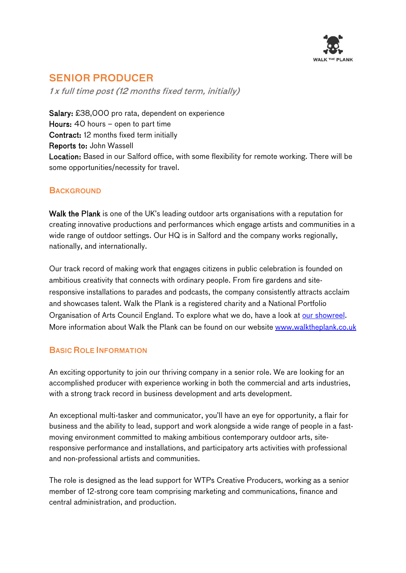

# SENIOR PRODUCER

1 x full time post (12 months fixed term, initially)

Salary: £38,000 pro rata, dependent on experience Hours: 40 hours – open to part time Contract: 12 months fixed term initially Reports to: John Wassell Location: Based in our Salford office, with some flexibility for remote working. There will be some opportunities/necessity for travel.

# **BACKGROUND**

Walk the Plank is one of the UK's leading outdoor arts organisations with a reputation for creating innovative productions and performances which engage artists and communities in a wide range of outdoor settings. Our HQ is in Salford and the company works regionally, nationally, and internationally.

Our track record of making work that engages citizens in public celebration is founded on ambitious creativity that connects with ordinary people. From fire gardens and siteresponsive installations to parades and podcasts, the company consistently attracts acclaim and showcases talent. Walk the Plank is a registered charity and a National Portfolio Organisation of Arts Council England. To explore what we do, have a look at [our showreel.](https://vimeo.com/395907435) More information about Walk the Plank can be found on our website www.walktheplank.co.uk

# BASIC ROLE INFORMATION

An exciting opportunity to join our thriving company in a senior role. We are looking for an accomplished producer with experience working in both the commercial and arts industries, with a strong track record in business development and arts development.

An exceptional multi-tasker and communicator, you'll have an eye for opportunity, a flair for business and the ability to lead, support and work alongside a wide range of people in a fastmoving environment committed to making ambitious contemporary outdoor arts, siteresponsive performance and installations, and participatory arts activities with professional and non-professional artists and communities.

The role is designed as the lead support for WTPs Creative Producers, working as a senior member of 12-strong core team comprising marketing and communications, finance and central administration, and production.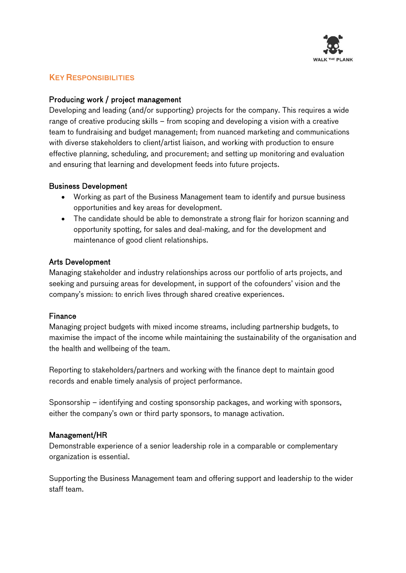

# KEY RESPONSIBILITIES

# Producing work / project management

Developing and leading (and/or supporting) projects for the company. This requires a wide range of creative producing skills – from scoping and developing a vision with a creative team to fundraising and budget management; from nuanced marketing and communications with diverse stakeholders to client/artist liaison, and working with production to ensure effective planning, scheduling, and procurement; and setting up monitoring and evaluation and ensuring that learning and development feeds into future projects.

#### Business Development

- Working as part of the Business Management team to identify and pursue business opportunities and key areas for development.
- The candidate should be able to demonstrate a strong flair for horizon scanning and opportunity spotting, for sales and deal-making, and for the development and maintenance of good client relationships.

#### Arts Development

Managing stakeholder and industry relationships across our portfolio of arts projects, and seeking and pursuing areas for development, in support of the cofounders' vision and the company's mission: to enrich lives through shared creative experiences.

## Finance

Managing project budgets with mixed income streams, including partnership budgets, to maximise the impact of the income while maintaining the sustainability of the organisation and the health and wellbeing of the team.

Reporting to stakeholders/partners and working with the finance dept to maintain good records and enable timely analysis of project performance.

Sponsorship – identifying and costing sponsorship packages, and working with sponsors, either the company's own or third party sponsors, to manage activation.

## Management/HR

Demonstrable experience of a senior leadership role in a comparable or complementary organization is essential.

Supporting the Business Management team and offering support and leadership to the wider staff team.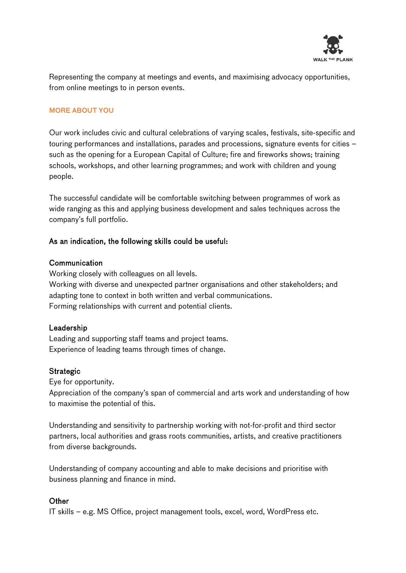

Representing the company at meetings and events, and maximising advocacy opportunities, from online meetings to in person events.

#### MORE ABOUT YOU

Our work includes civic and cultural celebrations of varying scales, festivals, site-specific and touring performances and installations, parades and processions, signature events for cities – such as the opening for a European Capital of Culture; fire and fireworks shows; training schools, workshops, and other learning programmes; and work with children and young people.

The successful candidate will be comfortable switching between programmes of work as wide ranging as this and applying business development and sales techniques across the company's full portfolio.

## As an indication, the following skills could be useful:

#### Communication

Working closely with colleagues on all levels. Working with diverse and unexpected partner organisations and other stakeholders; and adapting tone to context in both written and verbal communications. Forming relationships with current and potential clients.

## Leadership

Leading and supporting staff teams and project teams. Experience of leading teams through times of change.

#### **Strategic**

Eye for opportunity.

Appreciation of the company's span of commercial and arts work and understanding of how to maximise the potential of this.

Understanding and sensitivity to partnership working with not-for-profit and third sector partners, local authorities and grass roots communities, artists, and creative practitioners from diverse backgrounds.

Understanding of company accounting and able to make decisions and prioritise with business planning and finance in mind.

## **Other**

IT skills – e.g. MS Office, project management tools, excel, word, WordPress etc.